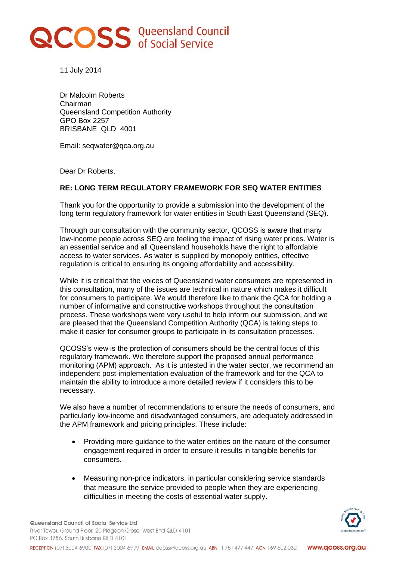## **RCOSS** Queensland Council

11 July 2014

Dr Malcolm Roberts Chairman Queensland Competition Authority GPO Box 2257 BRISBANE QLD 4001

Email: seqwater@qca.org.au

Dear Dr Roberts,

## **RE: LONG TERM REGULATORY FRAMEWORK FOR SEQ WATER ENTITIES**

Thank you for the opportunity to provide a submission into the development of the long term regulatory framework for water entities in South East Queensland (SEQ).

Through our consultation with the community sector, QCOSS is aware that many low-income people across SEQ are feeling the impact of rising water prices. Water is an essential service and all Queensland households have the right to affordable access to water services. As water is supplied by monopoly entities, effective regulation is critical to ensuring its ongoing affordability and accessibility.

While it is critical that the voices of Queensland water consumers are represented in this consultation, many of the issues are technical in nature which makes it difficult for consumers to participate. We would therefore like to thank the QCA for holding a number of informative and constructive workshops throughout the consultation process. These workshops were very useful to help inform our submission, and we are pleased that the Queensland Competition Authority (QCA) is taking steps to make it easier for consumer groups to participate in its consultation processes.

QCOSS's view is the protection of consumers should be the central focus of this regulatory framework. We therefore support the proposed annual performance monitoring (APM) approach. As it is untested in the water sector, we recommend an independent post-implementation evaluation of the framework and for the QCA to maintain the ability to introduce a more detailed review if it considers this to be necessary.

We also have a number of recommendations to ensure the needs of consumers, and particularly low-income and disadvantaged consumers, are adequately addressed in the APM framework and pricing principles. These include:

- Providing more guidance to the water entities on the nature of the consumer engagement required in order to ensure it results in tangible benefits for consumers.
- Measuring non-price indicators, in particular considering service standards that measure the service provided to people when they are experiencing difficulties in meeting the costs of essential water supply.